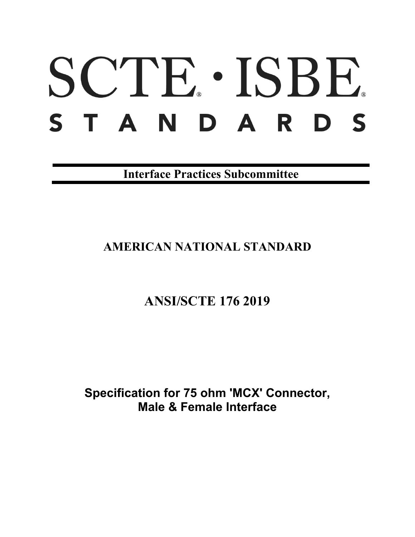# SCTE · ISBE. S T A N D A R D S

**Interface Practices Subcommittee**

# **AMERICAN NATIONAL STANDARD**

# **ANSI/SCTE 176 2019**

**Specification for 75 ohm 'MCX' Connector, Male & Female Interface**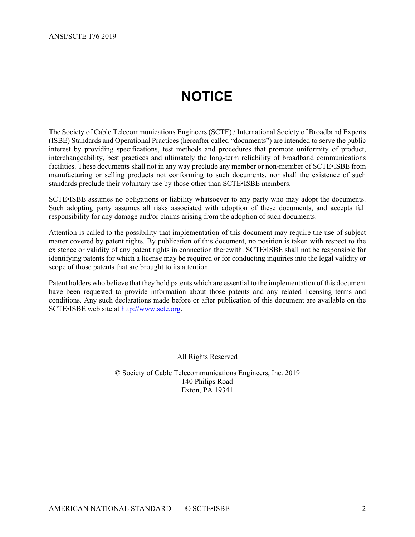# **NOTICE**

<span id="page-1-0"></span>The Society of Cable Telecommunications Engineers (SCTE) / International Society of Broadband Experts (ISBE) Standards and Operational Practices (hereafter called "documents") are intended to serve the public interest by providing specifications, test methods and procedures that promote uniformity of product, interchangeability, best practices and ultimately the long-term reliability of broadband communications facilities. These documents shall not in any way preclude any member or non-member of SCTE•ISBE from manufacturing or selling products not conforming to such documents, nor shall the existence of such standards preclude their voluntary use by those other than SCTE•ISBE members.

SCTE•ISBE assumes no obligations or liability whatsoever to any party who may adopt the documents. Such adopting party assumes all risks associated with adoption of these documents, and accepts full responsibility for any damage and/or claims arising from the adoption of such documents.

Attention is called to the possibility that implementation of this document may require the use of subject matter covered by patent rights. By publication of this document, no position is taken with respect to the existence or validity of any patent rights in connection therewith. SCTE•ISBE shall not be responsible for identifying patents for which a license may be required or for conducting inquiries into the legal validity or scope of those patents that are brought to its attention.

Patent holders who believe that they hold patents which are essential to the implementation of this document have been requested to provide information about those patents and any related licensing terms and conditions. Any such declarations made before or after publication of this document are available on the SCTE•ISBE web site at [http://www.scte.org.](http://www.scte.org/)

All Rights Reserved

© Society of Cable Telecommunications Engineers, Inc. 2019 140 Philips Road Exton, PA 19341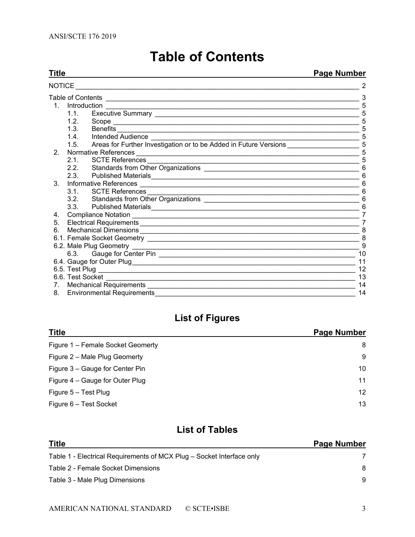<span id="page-2-0"></span>

| Title          | <b>Page Number</b> |                                                                                                                                                                                                                                 |    |
|----------------|--------------------|---------------------------------------------------------------------------------------------------------------------------------------------------------------------------------------------------------------------------------|----|
| <b>NOTICE</b>  |                    |                                                                                                                                                                                                                                 |    |
|                |                    |                                                                                                                                                                                                                                 |    |
|                |                    |                                                                                                                                                                                                                                 | 5  |
|                | 1.1.               |                                                                                                                                                                                                                                 | 5  |
|                | 1.2 <sub>1</sub>   |                                                                                                                                                                                                                                 | 5  |
|                | 1.3.               | Benefits                                                                                                                                                                                                                        |    |
|                |                    |                                                                                                                                                                                                                                 |    |
|                | 1.5.               | Areas for Further Investigation or to be Added in Future Versions                                                                                                                                                               | 5  |
| 2 <sub>1</sub> |                    |                                                                                                                                                                                                                                 |    |
|                | 2.1                |                                                                                                                                                                                                                                 | 5  |
|                | 2.2                |                                                                                                                                                                                                                                 | 6  |
|                |                    | 2.3. Published Materials                                                                                                                                                                                                        | 6  |
| $3_{-}$        |                    |                                                                                                                                                                                                                                 | 6  |
|                |                    | 3.1. SCTE References                                                                                                                                                                                                            | 6  |
|                |                    |                                                                                                                                                                                                                                 | 6  |
|                |                    | 3.3. Published Materials<br>experiences and the contract of the contract of the contract of the contract of the contract of the contract of the contract of the contract of the contract of the contract of the contract of the | 6  |
| 4.             |                    |                                                                                                                                                                                                                                 |    |
| 5.             |                    |                                                                                                                                                                                                                                 | 7  |
| 6.             |                    |                                                                                                                                                                                                                                 | 8  |
|                |                    |                                                                                                                                                                                                                                 | 8  |
|                |                    |                                                                                                                                                                                                                                 | 9  |
|                |                    |                                                                                                                                                                                                                                 | 10 |
|                |                    |                                                                                                                                                                                                                                 |    |
|                |                    |                                                                                                                                                                                                                                 | 12 |
|                |                    | 6.6. Test Socket<br><u> 1989 - Johann John Stoff, deutscher Stoffen und der Stoffen und der Stoffen und der Stoffen und der Stoffen</u>                                                                                         | 13 |
|                |                    |                                                                                                                                                                                                                                 | 14 |
|                |                    | 8. Environmental Requirements                                                                                                                                                                                                   | 14 |

# **Table of Contents**

# **List of Figures**

| <b>Title</b>                      | <b>Page Number</b> |
|-----------------------------------|--------------------|
| Figure 1 - Female Socket Geomerty | 8                  |
| Figure 2 - Male Plug Geomerty     | 9                  |
| Figure 3 – Gauge for Center Pin   | 10                 |
| Figure 4 – Gauge for Outer Plug   | 11                 |
| Figure 5 - Test Plug              | 12                 |
| Figure 6 - Test Socket            | 13                 |

## **List of Tables**

| <b>Title</b>                                                          | <b>Page Number</b> |
|-----------------------------------------------------------------------|--------------------|
| Table 1 - Electrical Requirements of MCX Plug – Socket Interface only |                    |
| Table 2 - Female Socket Dimensions                                    | 8                  |
| Table 3 - Male Plug Dimensions                                        | 9                  |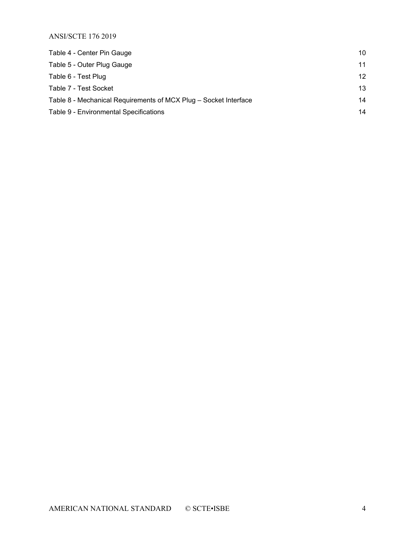ANSI/SCTE 176 2019

| Table 4 - Center Pin Gauge                                       | 10 |
|------------------------------------------------------------------|----|
| Table 5 - Outer Plug Gauge                                       | 11 |
| Table 6 - Test Plug                                              | 12 |
| Table 7 - Test Socket                                            | 13 |
| Table 8 - Mechanical Requirements of MCX Plug - Socket Interface | 14 |
| Table 9 - Environmental Specifications                           | 14 |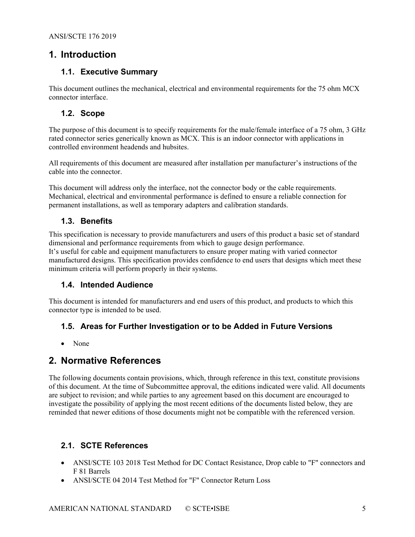#### <span id="page-4-1"></span><span id="page-4-0"></span>**1. Introduction**

#### **1.1. Executive Summary**

This document outlines the mechanical, electrical and environmental requirements for the 75 ohm MCX connector interface.

#### <span id="page-4-2"></span>**1.2. Scope**

The purpose of this document is to specify requirements for the male/female interface of a 75 ohm, 3 GHz rated connector series generically known as MCX. This is an indoor connector with applications in controlled environment headends and hubsites.

All requirements of this document are measured after installation per manufacturer's instructions of the cable into the connector.

This document will address only the interface, not the connector body or the cable requirements. Mechanical, electrical and environmental performance is defined to ensure a reliable connection for permanent installations, as well as temporary adapters and calibration standards.

#### <span id="page-4-3"></span>**1.3. Benefits**

This specification is necessary to provide manufacturers and users of this product a basic set of standard dimensional and performance requirements from which to gauge design performance. It's useful for cable and equipment manufacturers to ensure proper mating with varied connector manufactured designs. This specification provides confidence to end users that designs which meet these minimum criteria will perform properly in their systems.

#### <span id="page-4-4"></span>**1.4. Intended Audience**

<span id="page-4-5"></span>This document is intended for manufacturers and end users of this product, and products to which this connector type is intended to be used.

#### **1.5. Areas for Further Investigation or to be Added in Future Versions**

• None

#### <span id="page-4-6"></span>**2. Normative References**

The following documents contain provisions, which, through reference in this text, constitute provisions of this document. At the time of Subcommittee approval, the editions indicated were valid. All documents are subject to revision; and while parties to any agreement based on this document are encouraged to investigate the possibility of applying the most recent editions of the documents listed below, they are reminded that newer editions of those documents might not be compatible with the referenced version.

#### <span id="page-4-7"></span>**2.1. SCTE References**

- ANSI/SCTE 103 2018 Test Method for DC Contact Resistance, Drop cable to "F" connectors and F 81 Barrels
- ANSI/SCTE 04 2014 Test Method for "F" Connector Return Loss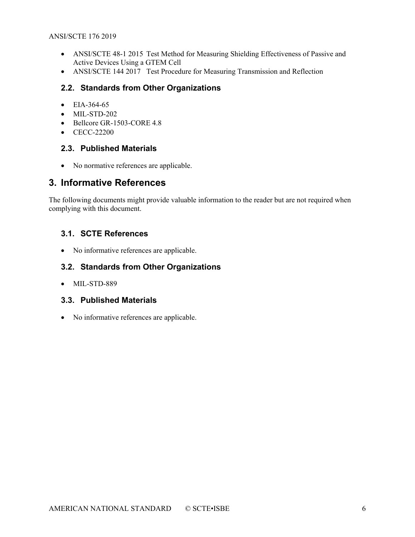- ANSI/SCTE 48-1 2015 Test Method for Measuring Shielding Effectiveness of Passive and Active Devices Using a GTEM Cell
- ANSI/SCTE 144 2017 Test Procedure for Measuring Transmission and Reflection

#### <span id="page-5-0"></span>**2.2. Standards from Other Organizations**

- EIA-364-65
- MIL-STD-202
- Bellcore GR-1503-CORE 4.8
- <span id="page-5-1"></span>• CECC-22200

#### **2.3. Published Materials**

• No normative references are applicable.

#### <span id="page-5-2"></span>**3. Informative References**

The following documents might provide valuable information to the reader but are not required when complying with this document.

#### <span id="page-5-3"></span>**3.1. SCTE References**

• No informative references are applicable.

#### <span id="page-5-4"></span>**3.2. Standards from Other Organizations**

• MIL-STD-889

#### <span id="page-5-5"></span>**3.3. Published Materials**

• No informative references are applicable.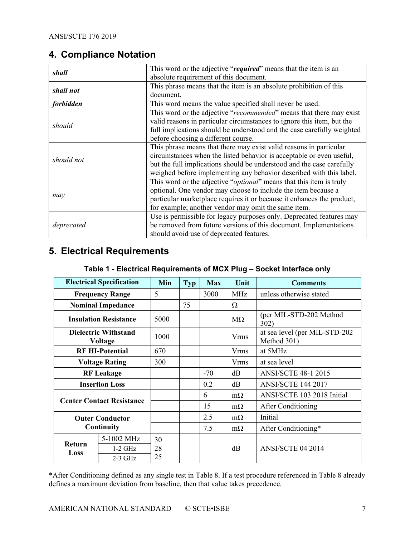### <span id="page-6-0"></span>**4. Compliance Notation**

| shall            | This word or the adjective "required" means that the item is an              |
|------------------|------------------------------------------------------------------------------|
|                  | absolute requirement of this document.                                       |
| shall not        | This phrase means that the item is an absolute prohibition of this           |
|                  | document.                                                                    |
| <i>forbidden</i> | This word means the value specified shall never be used.                     |
|                  | This word or the adjective "recommended" means that there may exist          |
| should           | valid reasons in particular circumstances to ignore this item, but the       |
|                  | full implications should be understood and the case carefully weighted       |
|                  | before choosing a different course.                                          |
|                  | This phrase means that there may exist valid reasons in particular           |
| should not       | circumstances when the listed behavior is acceptable or even useful,         |
|                  | but the full implications should be understood and the case carefully        |
|                  | weighed before implementing any behavior described with this label.          |
|                  | This word or the adjective " <i>optional</i> " means that this item is truly |
|                  | optional. One vendor may choose to include the item because a                |
| may              | particular marketplace requires it or because it enhances the product,       |
|                  | for example; another vendor may omit the same item.                          |
|                  | Use is permissible for legacy purposes only. Deprecated features may         |
| deprecated       | be removed from future versions of this document. Implementations            |
|                  | should avoid use of deprecated features.                                     |

# <span id="page-6-2"></span><span id="page-6-1"></span>**5. Electrical Requirements**

| <b>Electrical Specification</b>        |                                  | Min  | <b>Typ</b> | <b>Max</b> | Unit        | <b>Comments</b>                              |  |
|----------------------------------------|----------------------------------|------|------------|------------|-------------|----------------------------------------------|--|
| <b>Frequency Range</b>                 |                                  | 5    |            | 3000       | <b>MHz</b>  | unless otherwise stated                      |  |
|                                        | <b>Nominal Impedance</b>         |      | 75         |            | Ω           |                                              |  |
|                                        | <b>Insulation Resistance</b>     | 5000 |            |            | $M\Omega$   | (per MIL-STD-202 Method<br>302)              |  |
| <b>Dielectric Withstand</b><br>Voltage |                                  | 1000 |            |            | <b>Vrms</b> | at sea level (per MIL-STD-202<br>Method 301) |  |
|                                        | <b>RF HI-Potential</b>           | 670  |            |            | <b>Vrms</b> | at 5MHz                                      |  |
| <b>Voltage Rating</b>                  |                                  | 300  |            |            | <b>Vrms</b> | at sea level                                 |  |
| <b>RF</b> Leakage                      |                                  |      |            | $-70$      | dB          | <b>ANSI/SCTE 48-1 2015</b>                   |  |
|                                        | <b>Insertion Loss</b>            |      |            | 0.2        | dB          | <b>ANSI/SCTE 144 2017</b>                    |  |
|                                        | <b>Center Contact Resistance</b> |      |            | 6          | $m\Omega$   | ANSI/SCTE 103 2018 Initial                   |  |
|                                        |                                  |      |            | 15         | $m\Omega$   | After Conditioning                           |  |
| <b>Outer Conductor</b><br>Continuity   |                                  |      |            | 2.5        | $m\Omega$   | Initial                                      |  |
|                                        |                                  |      |            | 7.5        | $m\Omega$   | After Conditioning*                          |  |
|                                        | 5-1002 MHz                       | 30   |            |            |             |                                              |  |
| <b>Return</b><br>Loss                  | $1-2$ GHz                        | 28   |            |            | dB          | <b>ANSI/SCTE 04 2014</b>                     |  |
|                                        | $2-3$ GHz                        | 25   |            |            |             |                                              |  |

#### **Table 1 - Electrical Requirements of MCX Plug – Socket Interface only**

\*After Conditioning defined as any single test in [Table 8.](#page-13-2) If a test procedure referenced in [Table 8](#page-13-2) already defines a maximum deviation from baseline, then that value takes precedence.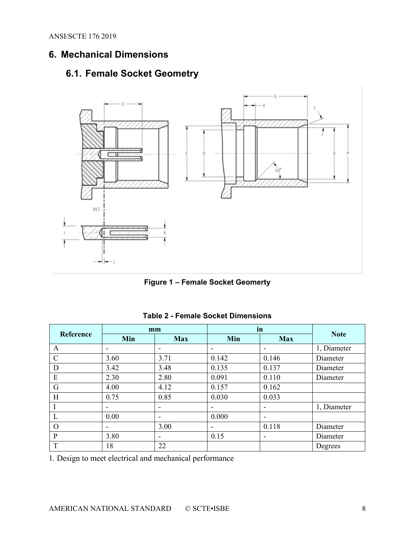ANSI/SCTE 176 2019

# <span id="page-7-1"></span><span id="page-7-0"></span>**6. Mechanical Dimensions**

# **6.1. Female Socket Geometry**





<span id="page-7-3"></span><span id="page-7-2"></span>

|               | mm   |                          | in                       |                          |             |
|---------------|------|--------------------------|--------------------------|--------------------------|-------------|
| Reference     | Min  | <b>Max</b>               | Min                      | <b>Max</b>               | <b>Note</b> |
| A             |      |                          | $\overline{\phantom{0}}$ |                          | 1, Diameter |
| $\mathcal{C}$ | 3.60 | 3.71                     | 0.142                    | 0.146                    | Diameter    |
| D             | 3.42 | 3.48                     | 0.135                    | 0.137                    | Diameter    |
| E             | 2.30 | 2.80                     | 0.091                    | 0.110                    | Diameter    |
| G             | 4.00 | 4.12                     | 0.157                    | 0.162                    |             |
| H             | 0.75 | 0.85                     | 0.030                    | 0.033                    |             |
|               | -    | ۰                        | -                        |                          | 1, Diameter |
| L             | 0.00 | -                        | 0.000                    |                          |             |
| $\Omega$      |      | 3.00                     | $\overline{\phantom{0}}$ | 0.118                    | Diameter    |
| P             | 3.80 | $\overline{\phantom{a}}$ | 0.15                     | $\overline{\phantom{a}}$ | Diameter    |
| T             | 18   | 22                       |                          |                          | Degrees     |

#### **Table 2 - Female Socket Dimensions**

1. Design to meet electrical and mechanical performance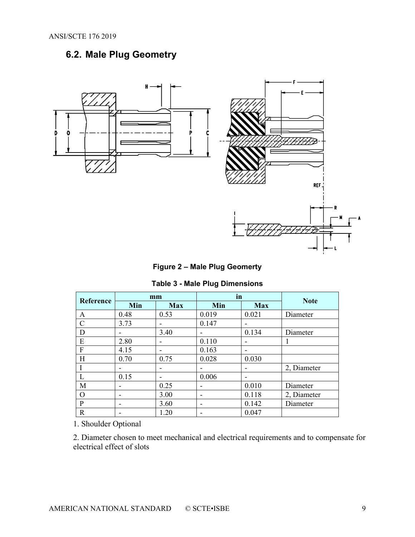# <span id="page-8-0"></span>**6.2. Male Plug Geometry**



**Figure 2 – Male Plug Geomerty** 

| Table 3 - Male Plug Dimensions |  |
|--------------------------------|--|
|--------------------------------|--|

<span id="page-8-2"></span><span id="page-8-1"></span>

|               | mm   |            | in    |                          | <b>Note</b> |  |
|---------------|------|------------|-------|--------------------------|-------------|--|
| Reference     | Min  | <b>Max</b> | Min   | <b>Max</b>               |             |  |
| А             | 0.48 | 0.53       | 0.019 | 0.021                    | Diameter    |  |
| $\mathcal{C}$ | 3.73 | -          | 0.147 | $\overline{\phantom{0}}$ |             |  |
| D             |      | 3.40       |       | 0.134                    | Diameter    |  |
| E             | 2.80 | -          | 0.110 | $\overline{\phantom{0}}$ |             |  |
| F             | 4.15 | -          | 0.163 | ٠                        |             |  |
| Н             | 0.70 | 0.75       | 0.028 | 0.030                    |             |  |
|               |      | -          |       | $\overline{\phantom{0}}$ | 2, Diameter |  |
|               | 0.15 | -          | 0.006 | $\overline{\phantom{0}}$ |             |  |
| M             |      | 0.25       |       | 0.010                    | Diameter    |  |
| O             |      | 3.00       |       | 0.118                    | 2, Diameter |  |
| P             | -    | 3.60       |       | 0.142                    | Diameter    |  |
| R             |      | 1.20       |       | 0.047                    |             |  |

1. Shoulder Optional

2. Diameter chosen to meet mechanical and electrical requirements and to compensate for electrical effect of slots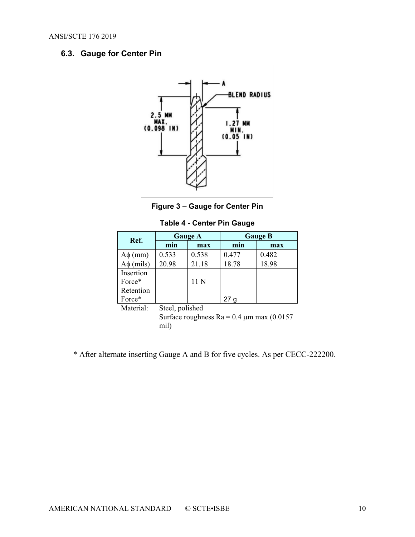#### <span id="page-9-0"></span>**6.3. Gauge for Center Pin**





**Table 4 - Center Pin Gauge**

<span id="page-9-2"></span><span id="page-9-1"></span>

| Ref.           |       | <b>Gauge A</b> | <b>Gauge B</b> |       |  |
|----------------|-------|----------------|----------------|-------|--|
|                | min   | max            | min            | max   |  |
| $A\phi$ (mm)   | 0.533 | 0.538          | 0.477          | 0.482 |  |
| $A\phi$ (mils) | 20.98 | 21.18          | 18.78          | 18.98 |  |
| Insertion      |       |                |                |       |  |
| Force*         |       | 11 N           |                |       |  |
| Retention      |       |                |                |       |  |
| Force*         |       |                |                |       |  |

Material: Steel, polished

Surface roughness  $Ra = 0.4 \mu m$  max (0.0157) mil)

\* After alternate inserting Gauge A and B for five cycles. As per CECC-222200.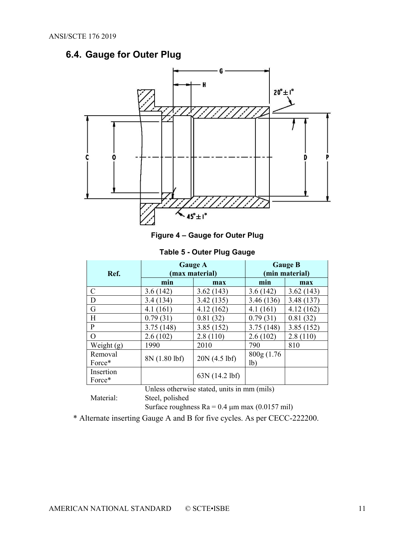# <span id="page-10-0"></span>**6.4. Gauge for Outer Plug**



**Figure 4 – Gauge for Outer Plug**

**Table 5 - Outer Plug Gauge**

<span id="page-10-2"></span><span id="page-10-1"></span>

|                                             |               | <b>Gauge A</b> | <b>Gauge B</b> |            |  |
|---------------------------------------------|---------------|----------------|----------------|------------|--|
| Ref.                                        |               | max material)  | (min material) |            |  |
|                                             | min           | max            | min            | max        |  |
| C                                           | 3.6(142)      | 3.62(143)      | 3.6(142)       | 3.62(143)  |  |
| D                                           | 3.4(134)      | 3.42(135)      | 3.46 (136)     | 3.48 (137) |  |
| G                                           | 4.1(161)      | 4.12(162)      | 4.1(161)       | 4.12(162)  |  |
| H                                           | 0.79(31)      | 0.81(32)       | 0.79(31)       | 0.81(32)   |  |
| P                                           | 3.75(148)     | 3.85(152)      | 3.75(148)      | 3.85(152)  |  |
| $\Omega$                                    | 2.6(102)      | 2.8(110)       | 2.6(102)       | 2.8(110)   |  |
| Weight $(g)$                                | 1990          | 2010           | 790            | 810        |  |
| Removal                                     | 8N (1.80 lbf) | 20N(4.5)       | 800g(1.76)     |            |  |
| Force*                                      |               |                | 1 <sub>b</sub> |            |  |
| Insertion                                   |               |                |                |            |  |
| Force*                                      |               | 63N (14.2 lbf) |                |            |  |
| Unless otherwise stated, units in mm (mils) |               |                |                |            |  |

Material: Steel, polished

Surface roughness  $Ra = 0.4 \mu m$  max (0.0157 mil)

\* Alternate inserting Gauge A and B for five cycles. As per CECC-222200.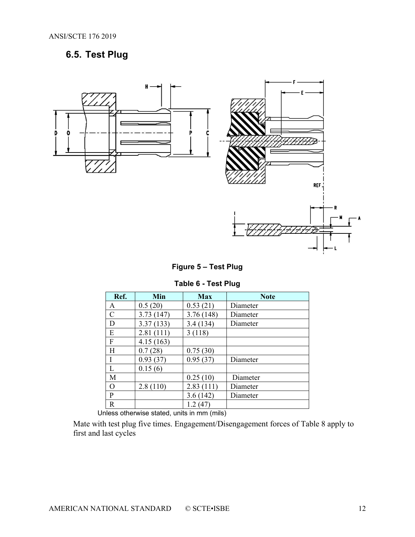# <span id="page-11-0"></span>**6.5. Test Plug**



**Figure 5 – Test Plug**

#### **Table 6 - Test Plug**

<span id="page-11-2"></span><span id="page-11-1"></span>

| Ref.        | Min       | <b>Max</b> | <b>Note</b> |
|-------------|-----------|------------|-------------|
| Α           | 0.5(20)   | 0.53(21)   | Diameter    |
| $\mathbf C$ | 3.73(147) | 3.76 (148) | Diameter    |
| D           | 3.37(133) | 3.4(134)   | Diameter    |
| E           | 2.81(111) | 3(118)     |             |
| F           | 4.15(163) |            |             |
| H           | 0.7(28)   | 0.75(30)   |             |
| I           | 0.93(37)  | 0.95(37)   | Diameter    |
| L           | 0.15(6)   |            |             |
| M           |           | 0.25(10)   | Diameter    |
| $\mathbf O$ | 2.8(110)  | 2.83(111)  | Diameter    |
| P           |           | 3.6(142)   | Diameter    |
| $\mathbf R$ |           | 1.2(47)    |             |

Unless otherwise stated, units in mm (mils)

Mate with test plug five times. Engagement/Disengagement forces of [Table 8](#page-13-2) apply to first and last cycles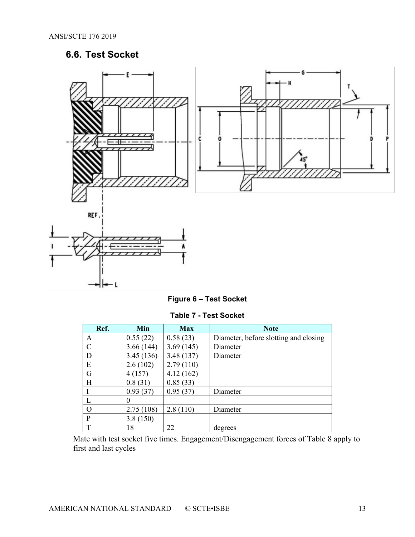# **6.6. Test Socket**

<span id="page-12-0"></span>



|  |  |  |  | Figure 6 – Test Socket |
|--|--|--|--|------------------------|
|--|--|--|--|------------------------|

| <b>Table 7 - Test Socket</b> |  |  |  |  |
|------------------------------|--|--|--|--|
|------------------------------|--|--|--|--|

<span id="page-12-2"></span><span id="page-12-1"></span>

| Ref.          | Min       | <b>Max</b> | <b>Note</b>                           |
|---------------|-----------|------------|---------------------------------------|
| А             | 0.55(22)  | 0.58(23)   | Diameter, before slotting and closing |
| $\mathcal{C}$ | 3.66(144) | 3.69(145)  | Diameter                              |
| D             | 3.45(136) | 3.48(137)  | Diameter                              |
| E             | 2.6(102)  | 2.79(110)  |                                       |
| G             | 4(157)    | 4.12(162)  |                                       |
| H             | 0.8(31)   | 0.85(33)   |                                       |
|               | 0.93(37)  | 0.95(37)   | Diameter                              |
|               |           |            |                                       |
| $\Omega$      | 2.75(108) | 2.8(110)   | Diameter                              |
| P             | 3.8(150)  |            |                                       |
| T             | 18        | 22         | degrees                               |

Mate with test socket five times. Engagement/Disengagement forces of [Table 8](#page-13-2) apply to first and last cycles